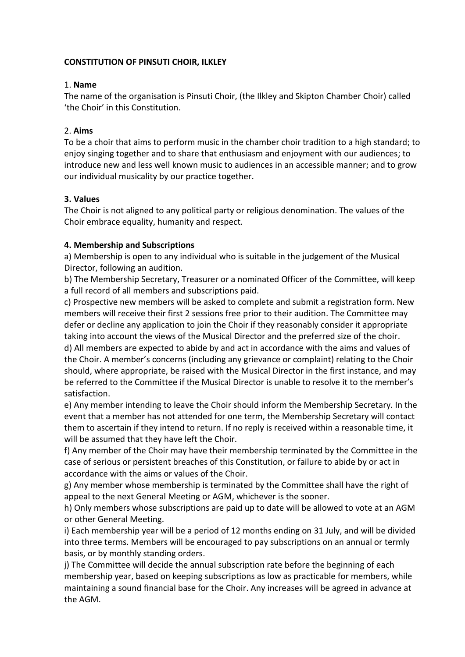#### **CONSTITUTION OF PINSUTI CHOIR, ILKLEY**

#### 1. **Name**

The name of the organisation is Pinsuti Choir, (the Ilkley and Skipton Chamber Choir) called 'the Choir' in this Constitution.

### 2. **Aims**

To be a choir that aims to perform music in the chamber choir tradition to a high standard; to enjoy singing together and to share that enthusiasm and enjoyment with our audiences; to introduce new and less well known music to audiences in an accessible manner; and to grow our individual musicality by our practice together.

### **3. Values**

The Choir is not aligned to any political party or religious denomination. The values of the Choir embrace equality, humanity and respect.

#### **4. Membership and Subscriptions**

a) Membership is open to any individual who is suitable in the judgement of the Musical Director, following an audition.

b) The Membership Secretary, Treasurer or a nominated Officer of the Committee, will keep a full record of all members and subscriptions paid.

c) Prospective new members will be asked to complete and submit a registration form. New members will receive their first 2 sessions free prior to their audition. The Committee may defer or decline any application to join the Choir if they reasonably consider it appropriate taking into account the views of the Musical Director and the preferred size of the choir.

d) All members are expected to abide by and act in accordance with the aims and values of the Choir. A member's concerns (including any grievance or complaint) relating to the Choir should, where appropriate, be raised with the Musical Director in the first instance, and may be referred to the Committee if the Musical Director is unable to resolve it to the member's satisfaction.

e) Any member intending to leave the Choir should inform the Membership Secretary. In the event that a member has not attended for one term, the Membership Secretary will contact them to ascertain if they intend to return. If no reply is received within a reasonable time, it will be assumed that they have left the Choir.

f) Any member of the Choir may have their membership terminated by the Committee in the case of serious or persistent breaches of this Constitution, or failure to abide by or act in accordance with the aims or values of the Choir.

g) Any member whose membership is terminated by the Committee shall have the right of appeal to the next General Meeting or AGM, whichever is the sooner.

h) Only members whose subscriptions are paid up to date will be allowed to vote at an AGM or other General Meeting.

i) Each membership year will be a period of 12 months ending on 31 July, and will be divided into three terms. Members will be encouraged to pay subscriptions on an annual or termly basis, or by monthly standing orders.

j) The Committee will decide the annual subscription rate before the beginning of each membership year, based on keeping subscriptions as low as practicable for members, while maintaining a sound financial base for the Choir. Any increases will be agreed in advance at the AGM.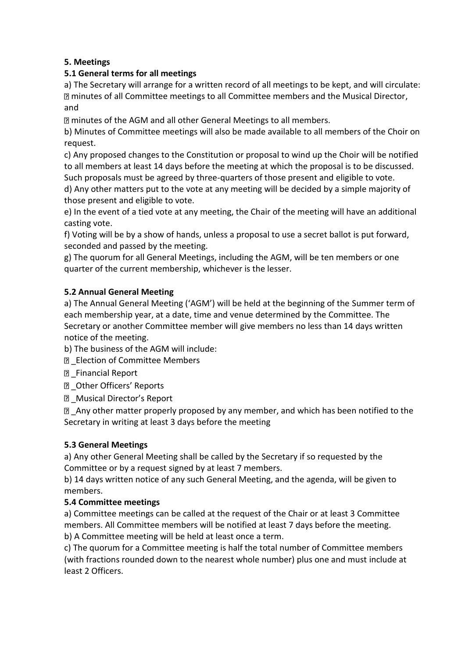# **5. Meetings**

# **5.1 General terms for all meetings**

a) The Secretary will arrange for a written record of all meetings to be kept, and will circulate: **If minutes of all Committee meetings to all Committee members and the Musical Director,** and

minutes of the AGM and all other General Meetings to all members.

b) Minutes of Committee meetings will also be made available to all members of the Choir on request.

c) Any proposed changes to the Constitution or proposal to wind up the Choir will be notified to all members at least 14 days before the meeting at which the proposal is to be discussed. Such proposals must be agreed by three-quarters of those present and eligible to vote.

d) Any other matters put to the vote at any meeting will be decided by a simple majority of those present and eligible to vote.

e) In the event of a tied vote at any meeting, the Chair of the meeting will have an additional casting vote.

f) Voting will be by a show of hands, unless a proposal to use a secret ballot is put forward, seconded and passed by the meeting.

g) The quorum for all General Meetings, including the AGM, will be ten members or one quarter of the current membership, whichever is the lesser.

# **5.2 Annual General Meeting**

a) The Annual General Meeting ('AGM') will be held at the beginning of the Summer term of each membership year, at a date, time and venue determined by the Committee. The Secretary or another Committee member will give members no less than 14 days written notice of the meeting.

b) The business of the AGM will include:

- **Election of Committee Members**
- **Z** Financial Report
- D Other Officers' Reports
- \_Musical Director's Report

■ Any other matter properly proposed by any member, and which has been notified to the Secretary in writing at least 3 days before the meeting

# **5.3 General Meetings**

a) Any other General Meeting shall be called by the Secretary if so requested by the Committee or by a request signed by at least 7 members.

b) 14 days written notice of any such General Meeting, and the agenda, will be given to members.

# **5.4 Committee meetings**

a) Committee meetings can be called at the request of the Chair or at least 3 Committee members. All Committee members will be notified at least 7 days before the meeting. b) A Committee meeting will be held at least once a term.

c) The quorum for a Committee meeting is half the total number of Committee members (with fractions rounded down to the nearest whole number) plus one and must include at least 2 Officers.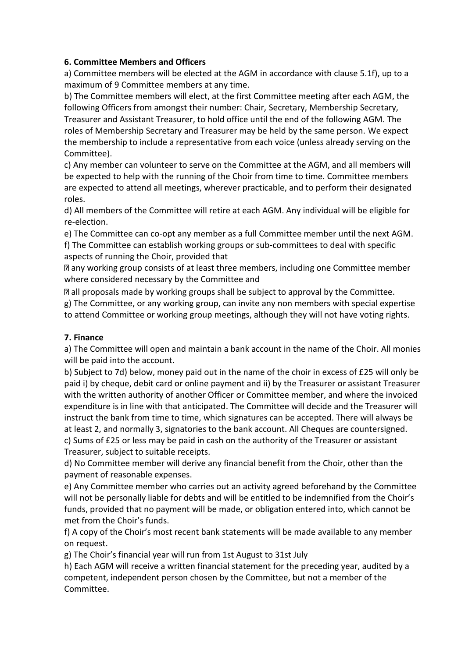### **6. Committee Members and Officers**

a) Committee members will be elected at the AGM in accordance with clause 5.1f), up to a maximum of 9 Committee members at any time.

b) The Committee members will elect, at the first Committee meeting after each AGM, the following Officers from amongst their number: Chair, Secretary, Membership Secretary, Treasurer and Assistant Treasurer, to hold office until the end of the following AGM. The roles of Membership Secretary and Treasurer may be held by the same person. We expect the membership to include a representative from each voice (unless already serving on the Committee).

c) Any member can volunteer to serve on the Committee at the AGM, and all members will be expected to help with the running of the Choir from time to time. Committee members are expected to attend all meetings, wherever practicable, and to perform their designated roles.

d) All members of the Committee will retire at each AGM. Any individual will be eligible for re-election.

e) The Committee can co-opt any member as a full Committee member until the next AGM.

f) The Committee can establish working groups or sub-committees to deal with specific aspects of running the Choir, provided that

any working group consists of at least three members, including one Committee member where considered necessary by the Committee and

all proposals made by working groups shall be subject to approval by the Committee.

g) The Committee, or any working group, can invite any non members with special expertise to attend Committee or working group meetings, although they will not have voting rights.

### **7. Finance**

a) The Committee will open and maintain a bank account in the name of the Choir. All monies will be paid into the account.

b) Subject to 7d) below, money paid out in the name of the choir in excess of £25 will only be paid i) by cheque, debit card or online payment and ii) by the Treasurer or assistant Treasurer with the written authority of another Officer or Committee member, and where the invoiced expenditure is in line with that anticipated. The Committee will decide and the Treasurer will instruct the bank from time to time, which signatures can be accepted. There will always be at least 2, and normally 3, signatories to the bank account. All Cheques are countersigned. c) Sums of £25 or less may be paid in cash on the authority of the Treasurer or assistant Treasurer, subject to suitable receipts.

d) No Committee member will derive any financial benefit from the Choir, other than the payment of reasonable expenses.

e) Any Committee member who carries out an activity agreed beforehand by the Committee will not be personally liable for debts and will be entitled to be indemnified from the Choir's funds, provided that no payment will be made, or obligation entered into, which cannot be met from the Choir's funds.

f) A copy of the Choir's most recent bank statements will be made available to any member on request.

g) The Choir's financial year will run from 1st August to 31st July

h) Each AGM will receive a written financial statement for the preceding year, audited by a competent, independent person chosen by the Committee, but not a member of the Committee.